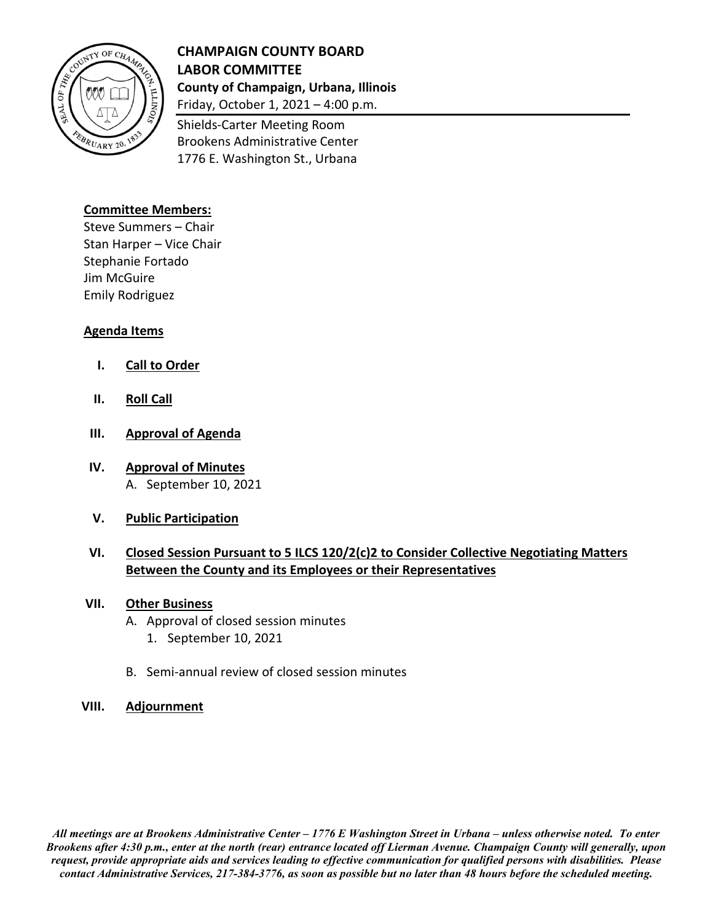

## **CHAMPAIGN COUNTY BOARD LABOR COMMITTEE County of Champaign, Urbana, Illinois** Friday, October 1, 2021 – 4:00 p.m.

Shields-Carter Meeting Room Brookens Administrative Center

1776 E. Washington St., Urbana

### **Committee Members:**

Steve Summers – Chair Stan Harper – Vice Chair Stephanie Fortado Jim McGuire Emily Rodriguez

### **Agenda Items**

- **I. Call to Order**
- **II. Roll Call**
- **III. Approval of Agenda**
- **IV. Approval of Minutes** A. September 10, 2021
- **V. Public Participation**

### **VI. Closed Session Pursuant to 5 ILCS 120/2(c)2 to Consider Collective Negotiating Matters Between the County and its Employees or their Representatives**

#### **VII. Other Business**

- A. Approval of closed session minutes
	- 1. September 10, 2021
- B. Semi-annual review of closed session minutes

#### **VIII. Adjournment**

*All meetings are at Brookens Administrative Center – 1776 E Washington Street in Urbana – unless otherwise noted. To enter Brookens after 4:30 p.m., enter at the north (rear) entrance located off Lierman Avenue. Champaign County will generally, upon request, provide appropriate aids and services leading to effective communication for qualified persons with disabilities. Please contact Administrative Services, 217-384-3776, as soon as possible but no later than 48 hours before the scheduled meeting.*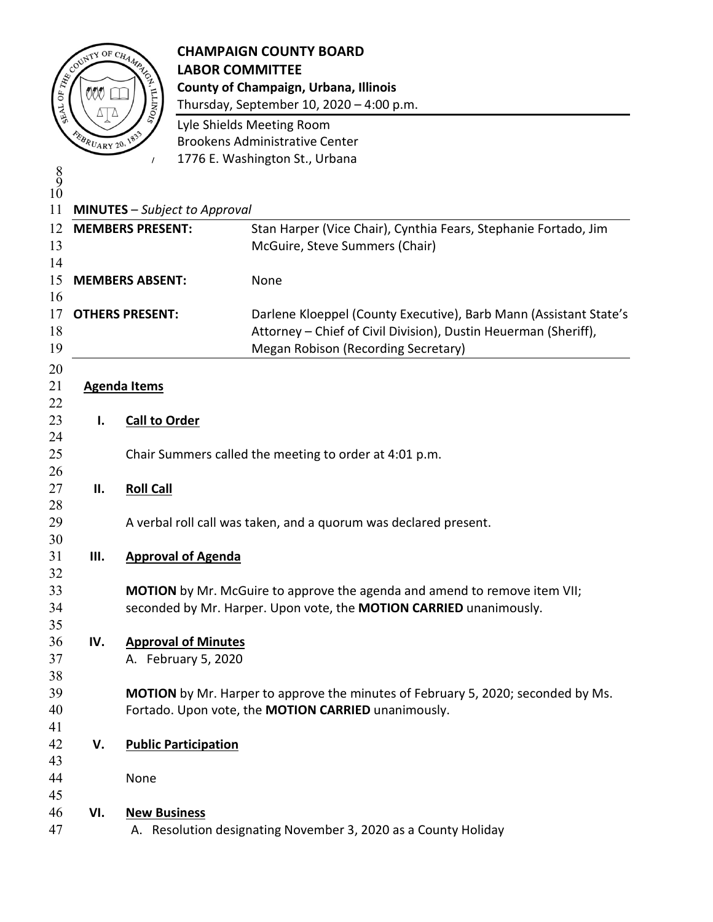

# **CHAMPAIGN COUNTY BOARD**<br>COUNTY OF CH<sub>AMPAIG</sub> LABOR COMMITTEE **LABOR COMMITTEE County of Champaign, Urbana, Illinois**

Thursday, September 10,  $2020 - 4:00$  p.m.

 Lyle Shields Meeting Room Brookens Administrative Center 1776 E. Washington St., Urbana

 $\frac{9}{2}$  **MINUTES** – *Subject to Approval* **MEMBERS PRESENT:** Stan Harper (Vice Chair), Cynthia Fears, Stephanie Fortado, Jim McGuire, Steve Summers (Chair) **MEMBERS ABSENT:** None **OTHERS PRESENT:** Darlene Kloeppel (County Executive), Barb Mann (Assistant State's Attorney – Chief of Civil Division), Dustin Heuerman (Sheriff), Megan Robison (Recording Secretary) **Agenda Items I. Call to Order** Chair Summers called the meeting to order at 4:01 p.m. **II. Roll Call** A verbal roll call was taken, and a quorum was declared present. **III. Approval of Agenda MOTION** by Mr. McGuire to approve the agenda and amend to remove item VII; seconded by Mr. Harper. Upon vote, the **MOTION CARRIED** unanimously. **IV. Approval of Minutes** A. February 5, 2020 **MOTION** by Mr. Harper to approve the minutes of February 5, 2020; seconded by Ms. Fortado. Upon vote, the **MOTION CARRIED** unanimously. **V. Public Participation** None **VI. New Business** A. Resolution designating November 3, 2020 as a County Holiday